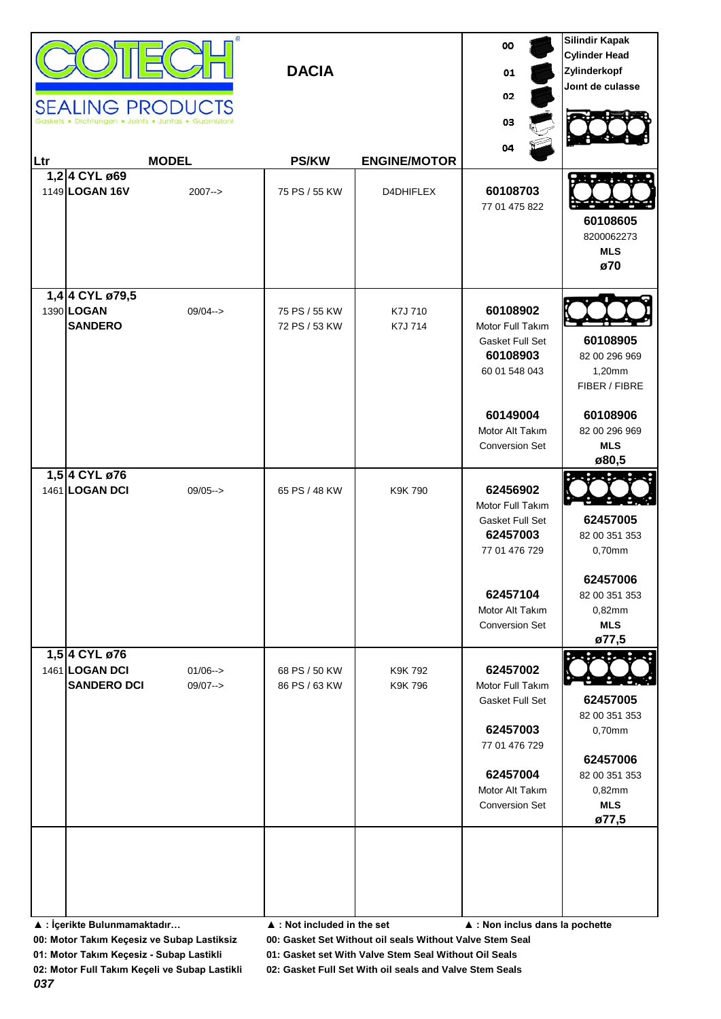| Ltr | 1,2 4 CYL ø69<br>1149 LOGAN 16V<br>1,4 4 CYL ø79,5    | <b>SEALING PRODUCTS</b><br>Dichtungen . Joints . Juntas . Guarnizio<br><b>MODEL</b><br>$2007 - >$ | <b>DACIA</b><br><b>PS/KW</b><br>75 PS / 55 KW | <b>ENGINE/MOTOR</b><br>D4DHIFLEX | 00<br>01<br>02<br>03<br>04<br>60108703<br>77 01 475 822                                                                              | <b>Silindir Kapak</b><br><b>Cylinder Head</b><br>Zylinderkopf<br>Joint de culasse<br>60108605<br>8200062273<br><b>MLS</b><br>ø70 |
|-----|-------------------------------------------------------|---------------------------------------------------------------------------------------------------|-----------------------------------------------|----------------------------------|--------------------------------------------------------------------------------------------------------------------------------------|----------------------------------------------------------------------------------------------------------------------------------|
|     | 1390 LOGAN<br><b>SANDERO</b>                          | $09/04 - >$                                                                                       | 75 PS / 55 KW<br>72 PS / 53 KW                | K7J 710<br>K7J 714               | 60108902<br>Motor Full Takım<br>Gasket Full Set<br>60108903<br>60 01 548 043<br>60149004<br>Motor Alt Takım<br><b>Conversion Set</b> | 60108905<br>82 00 296 969<br>1,20mm<br>FIBER / FIBRE<br>60108906<br>82 00 296 969<br><b>MLS</b><br>ø80,5                         |
|     | 1,5 4 CYL ø76<br>1461 LOGAN DCI                       | $09/05--$                                                                                         | 65 PS / 48 KW                                 | K9K 790                          | 62456902<br>Motor Full Takım<br>Gasket Full Set<br>62457003<br>77 01 476 729<br>62457104<br>Motor Alt Takım<br><b>Conversion Set</b> | 62457005<br>82 00 351 353<br>0,70mm<br>62457006<br>82 00 351 353<br>0,82mm<br><b>MLS</b><br>ø77,5                                |
|     | 1,5 4 CYL ø76<br>1461 LOGAN DCI<br><b>SANDERO DCI</b> | $01/06 - >$<br>$09/07 - >$                                                                        | 68 PS / 50 KW<br>86 PS / 63 KW                | K9K 792<br>K9K 796               | 62457002<br>Motor Full Takım<br>Gasket Full Set<br>62457003<br>77 01 476 729<br>62457004<br>Motor Alt Takım<br><b>Conversion Set</b> | 62457005<br>82 00 351 353<br>0,70mm<br>62457006<br>82 00 351 353<br>0,82mm<br><b>MLS</b><br>ø77,5                                |
|     | ▲ : İçerikte Bulunmamaktadır                          |                                                                                                   | $\blacktriangle$ : Not included in the set    |                                  | ▲ : Non inclus dans la pochette                                                                                                      |                                                                                                                                  |

**00: Motor Takım Keçesiz ve Subap Lastiksiz 00: Gasket Set Without oil seals Without Valve Stem Seal**

**01: Motor Takım Keçesiz - Subap Lastikli 01: Gasket set With Valve Stem Seal Without Oil Seals**

**02: Motor Full Takım Keçeli ve Subap Lastikli 02: Gasket Full Set With oil seals and Valve Stem Seals**

*037*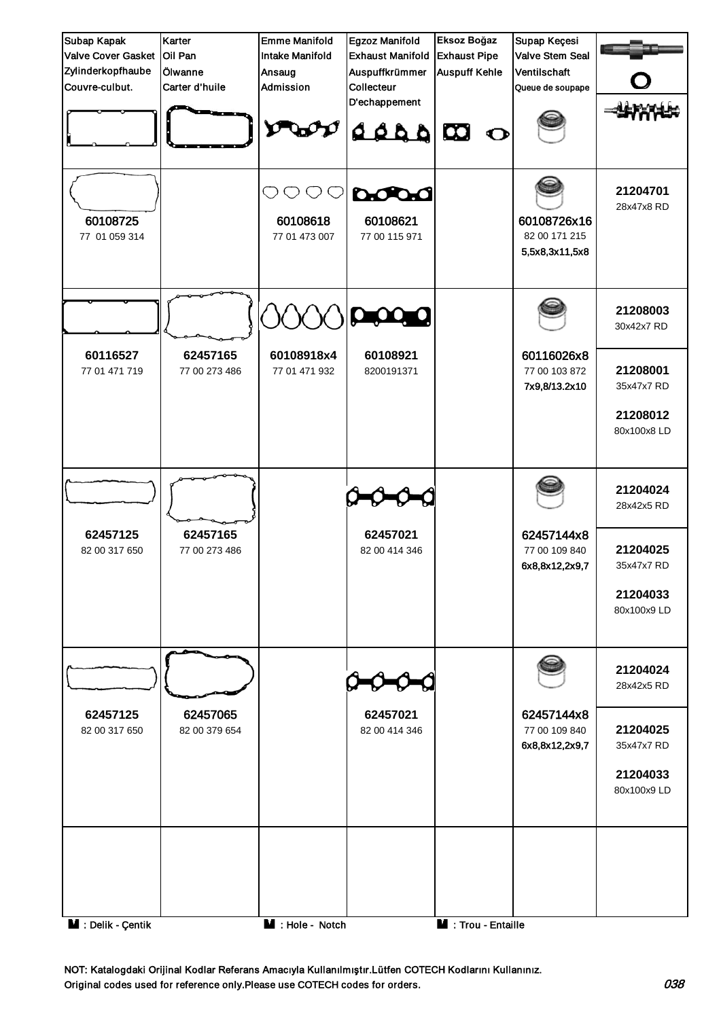

NOT: Katalogdaki Orijinal Kodlar Referans Amacıyla Kullanılmıştır.Lütfen COTECH Kodlarını Kullanınız. Original codes used for reference only.Please use COTECH codes for orders. 038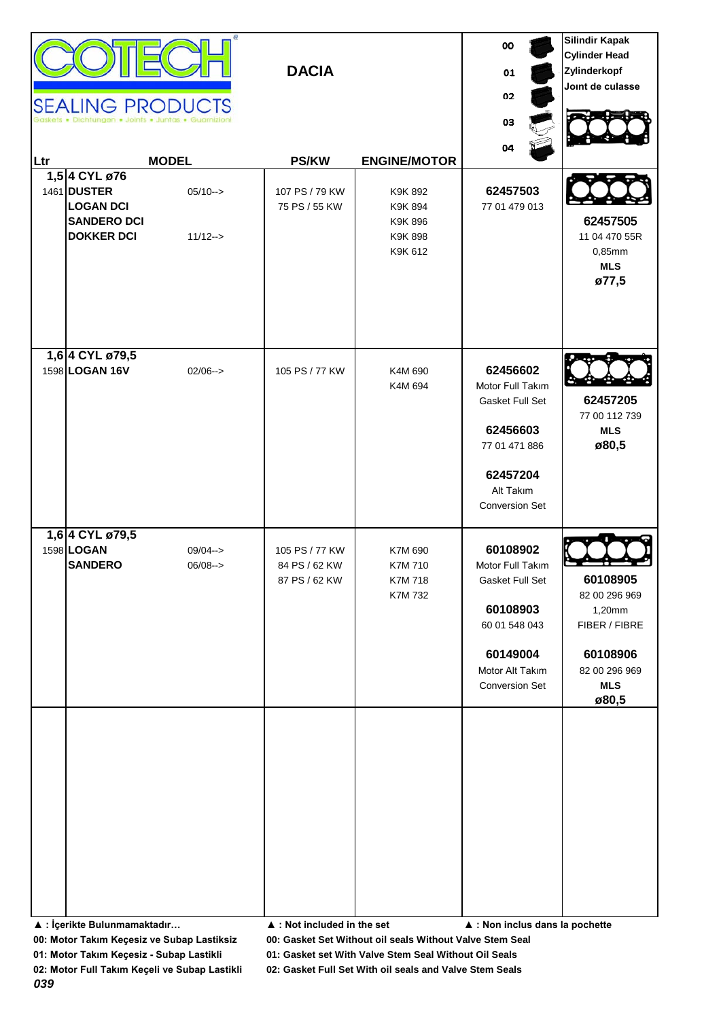| Ltr | 1,5 4 CYL ø76<br>1461 DUSTER<br><b>LOGAN DCI</b><br><b>SANDERO DCI</b><br><b>DOKKER DCI</b> | <b>SEALING PRODUCTS</b><br><b>MODEL</b><br>$05/10--$<br>$11/12 ->$ | <b>DACIA</b><br><b>PS/KW</b><br>107 PS / 79 KW<br>75 PS / 55 KW | <b>ENGINE/MOTOR</b><br>K9K 892<br>K9K 894<br>K9K 896<br>K9K 898<br>K9K 612 | 00<br>01<br>02<br>03<br>04<br>62457503<br>77 01 479 013                                                                              | <b>Silindir Kapak</b><br><b>Cylinder Head</b><br>Zylinderkopf<br>Joint de culasse<br>62457505<br>11 04 470 55R<br>0,85mm<br><b>MLS</b><br>ø77,5 |
|-----|---------------------------------------------------------------------------------------------|--------------------------------------------------------------------|-----------------------------------------------------------------|----------------------------------------------------------------------------|--------------------------------------------------------------------------------------------------------------------------------------|-------------------------------------------------------------------------------------------------------------------------------------------------|
|     | 1,6 4 CYL ø79,5<br>1598 LOGAN 16V                                                           | $02/06 \rightarrow$                                                | 105 PS / 77 KW                                                  | K4M 690<br>K4M 694                                                         | 62456602<br>Motor Full Takım<br>Gasket Full Set<br>62456603<br>77 01 471 886<br>62457204<br>Alt Takım<br><b>Conversion Set</b>       | 62457205<br>77 00 112 739<br><b>MLS</b><br>ø80,5                                                                                                |
|     | 1,6 4 CYL ø79,5<br>1598 LOGAN<br><b>SANDERO</b>                                             | $09/04 - >$<br>$06/08 ->$                                          | 105 PS / 77 KW<br>84 PS / 62 KW<br>87 PS / 62 KW                | K7M 690<br>K7M 710<br>K7M 718<br>K7M 732                                   | 60108902<br>Motor Full Takım<br>Gasket Full Set<br>60108903<br>60 01 548 043<br>60149004<br>Motor Alt Takım<br><b>Conversion Set</b> | 60108905<br>82 00 296 969<br>1,20mm<br>FIBER / FIBRE<br>60108906<br>82 00 296 969<br><b>MLS</b><br>ø80,5                                        |

**▲ : İçerikte Bulunmamaktadır… ▲ : Not included in the set ▲ : Non inclus dans la pochette**

**00: Motor Takım Keçesiz ve Subap Lastiksiz 00: Gasket Set Without oil seals Without Valve Stem Seal**

**01: Motor Takım Keçesiz - Subap Lastikli 01: Gasket set With Valve Stem Seal Without Oil Seals**

**02: Motor Full Takım Keçeli ve Subap Lastikli 02: Gasket Full Set With oil seals and Valve Stem Seals**

*039*